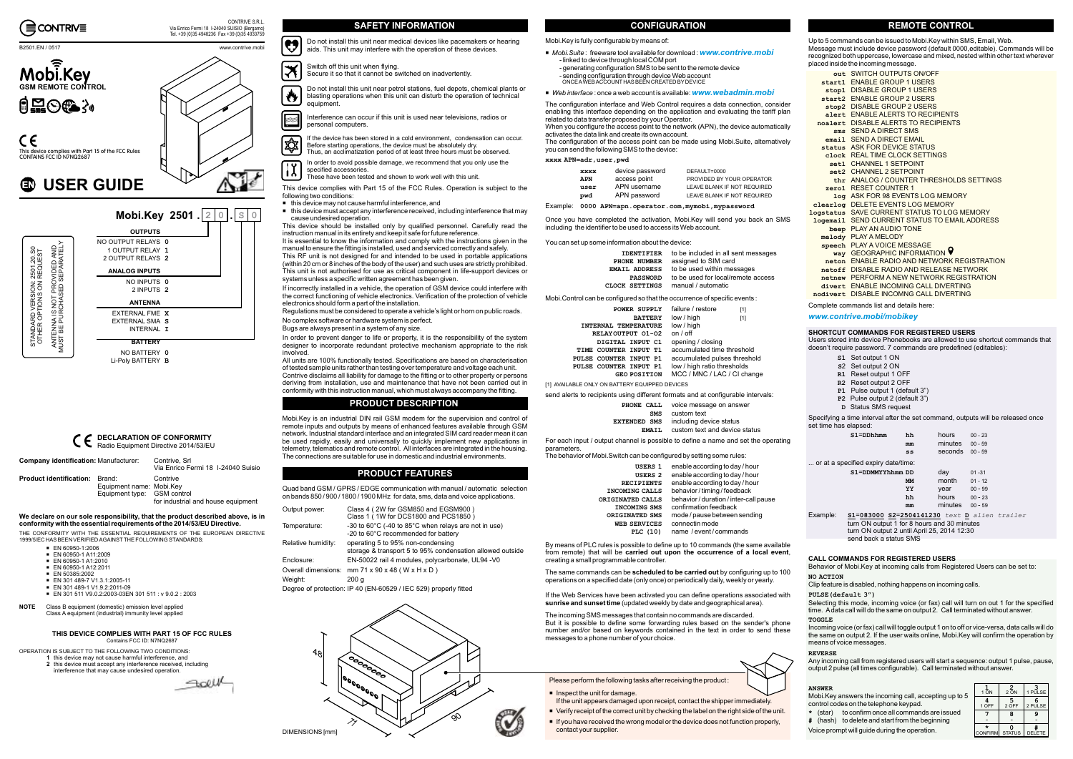

#### B<sub>2501</sub> EN / 0517 www.contrive.mobility.com/integrate.com/integrate.com/integrate.com/integrate.com/integrate.com/integrate.com/integrate.com/integrate.com/integrate.com/integrate.com/integrate.com/integrate.com/integrate.

Quad band GSM / GPRS / EDGE communication with manual / automatic selectionon bands 850 / 900 / 1800 / 1900 MHz for data, sms, data and voice applications.

| Output power:      | Class 4 (2W for GSM850 and EGSM900)<br>Class 1 (1W for DCS1800 and PCS1850)                    |
|--------------------|------------------------------------------------------------------------------------------------|
| Temperature:       | -30 to 60°C (-40 to 85°C when relays are not in use)<br>-20 to 60°C recommended for battery    |
| Relative humidity: | operating 5 to 95% non-condensing<br>storage & transport 5 to 95% condensation allowed outside |
| Enclosure:         | EN-50022 rail 4 modules, polycarbonate, UL94 -V0                                               |
|                    | Overall dimensions: mm 71 x 90 x 48 (W x H x D)                                                |
| Weight:            | 200q                                                                                           |

Degree of protection: IP 40 (EN-60529 / IEC 529) properly fitted



This device complies with Part 15 of the FCC Rules. Operation is subject to the following two conditions:

 $\quad \blacksquare \;$  this device may not cause harmful interference, and

It is essential to know the information and comply with the instructions given in the manual to ensure the fitting is installed, used and serviced correctly and safely. This RF unit is not designed for and intended to be used in portable applications (within 20 cm or 8 inches of the body of the user) and such uses are strictly prohibited. This unit is not authorised for use as critical component in life-support devices or systems unless <sup>a</sup> specific written agreement has been given.

this device must accept any interference received, including interference that may cause undesired operation.

This device should be installed only by qualified personnel. Carefully read the instruction manual in its entirety and keep it safe for future reference.

 $\mathbf{r}$ In order to avoid possible damage, we recommend that you only use the specified accessories.

Switch off this unit when flying. ∣≭ Secure it so that it cannot be switched on inadvertently.

If incorrectly installed in <sup>a</sup> vehicle, the operation of GSM device could interfere with the correct functioning of vehicle electronics. Verification of the protection of vehicle electronics should form <sup>a</sup> part of the installation.

Regulations must be considered to operate <sup>a</sup> vehicle's light or horn on public roads. No complex software or hardware system is perfect.

Bugs are always present in <sup>a</sup> system of any size.

In order to prevent danger to life or property, it is the responsibility of the system designer to incorporate redundant protective mechanism appropriate to the risk involved.

 All units are 100% functionally tested. Specifications are based on characterisation of tested sample units rather than testing over temperature and voltage each unit. Contrive disclaims all liability for damage to the fitting or to other property or persons

deriving from installation, use and maintenance that have not been carried out in conformity with this instruction manual, which must always accompany the fitting.

> Specifying <sup>a</sup> time interval after the set command, outputs will be released once set time has elansed:

If the device has been stored in <sup>a</sup> cold environment, condensation can occur. (H Before starting operations, the device must be absolutely dry. Thus, an acclimatization period of at least three hours must be observed.

These have been tested and shown to work well with this unit.

Do not install this unit near medical devices like pacemakers or hearing IJ aids. This unit may interfere with the operation of these devices.

Do not install this unit near petrol stations, fuel depots, chemical plants or 炒 blasting operations when this unit can disturb the operation of technical equipment.

Interference can occur if this unit is used near televisions, radios or personal computers.

#### **CONFIGURATION**

- control codes on the telephone keypad.
- **\***(star) to confirm once all commands are issued
- **#** (hash) to delete and start from the beginning
- Voice prompt will guide during the operation.

Tel. +39 (0)35 4948236 Fax +39 (0)35 4933759

 $\Lambda$ 



CE This device complies with Part 15 of the FCC Rules<br>CONTAINS FCC ID N7NQ2687

### **USER GUIDE**

STANDARD VERSION: 2501.20.S0 OTHER OPTIONS ON REQUEST

STANDARD VERSION: 2501.20.S0<br>OTHER OPTIONS ON REQUEST



 $\blacksquare$  If you have received the wrong model or the device does not function properly, contact your supplier.



#### **REMOTE CONTROL**

Up to 5 commands can be issued to Mobi.Key within SMS, Email, Web. Message must include device password (default 0000,editable). Commands will be recognized both uppercase, lowercase and mixed, nested within other text wherever placed inside the incoming message.

The configuration interface and Web Control requires <sup>a</sup> data connection, consider enabling this interface depending on the application and evaluating the tariff plan related to data transfer proposed by your Operator. When you configure the access point to the network (APN), the device automatically

For each input / output channel is possible to define <sup>a</sup> name and set the operating parameters.<br>The behavio

Complete commands list and details here:

Users stored into device Phonebooks are allowed to use shortcut commands that doesn't require password. 7 commands are predefined (editables):

If the Web Services have been activated you can define operations associated with  $\boldsymbol{\mathrm{s}}$  and  $\boldsymbol{\mathrm{s}}$  unset time (updated weekly by date and geographical area).

| out SWITCH OUTPUTS ON/OFF                            |
|------------------------------------------------------|
| start1 ENABLE GROUP 1 USERS                          |
| stop1 DISABLE GROUP 1 USERS                          |
| start2 ENABLE GROUP 2 USERS                          |
| stop2 DISABLE GROUP 2 USERS                          |
| alert ENABLE ALERTS TO RECIPIENTS                    |
| noalert DISABLE ALERTS TO RECIPIENTS                 |
| sms SEND A DIRECT SMS                                |
| email SEND A DIRECT EMAIL                            |
| status ASK FOR DEVICE STATUS                         |
| clock REAL TIME CLOCK SETTINGS                       |
| set1 CHANNEL 1 SETPOINT                              |
| set2 CHANNEL 2 SETPOINT                              |
| thr ANALOG / COUNTER THRESHOLDS SETTINGS             |
| zero1 RESET COUNTER 1                                |
| <b>Log ASK FOR 98 EVENTS LOG MEMORY</b>              |
| clearlog DELETE EVENTS LOG MEMORY                    |
| <b>logstatus SAVE CURRENT STATUS TO LOG MEMORY</b>   |
| <b>Logemail SEND CURRENT STATUS TO EMAIL ADDRESS</b> |
| beep PLAY AN AUDIO TONE                              |
| melody PLAY A MELODY                                 |
| speech PLAY A VOICE MESSAGE                          |
| way GEOGRAPHIC INFORMATION 9                         |
| neton ENABLE RADIO AND NETWORK REGISTRATION          |
| netoff DISABLE RADIO AND RELEASE NETWORK             |
| netnew PERFORM A NEW NETWORK REGISTRATION            |
| divert. FNABLE INCOMING CALL DIVERTING               |
| nodivert DISABLE INCOMNG CALL DIVERTING              |

turn ON output 1 for 8 hours and 30 minutes turn ON output 2 until April 25, 2014 12:30 send back a status SMS

The same commands can be **scheduled to be carried out** by configuring up to 100 operations on <sup>a</sup> specified date (only once) or periodically daily, weekly or yearly.

- Set output 1 ON **S1**
- 2 Set output 2 ON **S**
- R1 Reset output 1 OFF
- Reset output 2 OFF **R2**
- Pulse output 1 (default 3") **P1**
- Pulse output 2 (default 3") **P2**
- Status SMS request **D**

We declare on our sole responsibility, that the product described above, is in **conformity with the essential requirements of the 2014/53/EU Directive.**

THE CONFORMITY WITH THE ESSENTIAL REQUIREMENTS OF THE EUROPEAN DIRECTIVE<br>1999/5/EC HAS BEEN VERIFIED AGAINST THE FOLLOWING STANDARDS:

Incoming voice (or fax) call will toggle output 1 on to off or vice-versa, data calls will do the same on output 2. If the user waits online, Mobi.Key will confirm the operation by means of voice messages.

|          | $S1 = DDhhmm$                       | hh                                           | hours   | $00 - 23$ |  |
|----------|-------------------------------------|----------------------------------------------|---------|-----------|--|
|          |                                     | mm                                           | minutes | $00 - 59$ |  |
|          |                                     | ss                                           | seconds | $00 - 59$ |  |
|          | or at a specified expiry date/time: |                                              |         |           |  |
|          | S1=DDMMYYhhmm DD                    |                                              | day     | $01 - 31$ |  |
|          |                                     | МM                                           | month   | $01 - 12$ |  |
|          |                                     | YY                                           | year    | $00 - 99$ |  |
|          |                                     | hh                                           | hours   | $00 - 23$ |  |
|          |                                     | mm                                           | minutes | $00 - 59$ |  |
| Example: | .                                   | S1=083000 S2=2504141230 text D alien trailer |         |           |  |
|          |                                     |                                              |         |           |  |

Clip feature is disabled, nothing happens on incoming calls.

Behavior of Mobi.Key at incoming calls from Registered Users can be set to:

Selecting this mode, incoming voice (or fax) call will turn on out 1 for the specified time. Adata call will do the same on output 2. Call terminated without answer. **TOGGLE**

Any incoming call from registered users will start <sup>a</sup> sequence: output 1 pulse, pause, output 2 pulse (all times configurable). Call terminated without answer.

#### Contains FCC ID: N7NO2687 **THIS DEVICE COMPLIES WITH PART 15 OF FCC RULES**

#### **NO ACTION**

#### **PULSE(default 3")**

#### **REVERSE**

#### **SHORTCUT COMMANDS FOR REGISTERED USERS**

#### **CALL COMMANDS FOR REGISTERED USERS**

#### *www.contrive.mobi/mobikey*

#### **ANSWER**

Mobi.Key answers the incoming call, accepting up to 5

| 1 ON                | 2<br>2 ON          | 1 PULSE       |
|---------------------|--------------------|---------------|
| 4<br>1 OFF          | 5<br>2 OFF         | 6<br>2 PULSE  |
|                     | 8                  | g             |
| ÷<br><b>CONFIRM</b> | 0<br><b>STATUS</b> | <b>DELETE</b> |

Mobi.Key is an industrial DIN rail GSM modem for the supervision and control of remote inputs and outputs by means of enhanced features available through GSM network. Industrial standard interface and an integrated SIM card reader mean it can be used rapidly, easily and universally to quickly implement new applications in telemetry, telematics and remote control. All interfaces are integrated in the housing. The connections are suitable for use in domestic and industrial environments.



■ Verify receipt of the correct unit by checking the label on the right side of the unit.

 $\blacksquare$  Inspect the unit for damage.

#### **PRODUCT DESCRIPTION**

#### **PRODUCT FEATURES**

Mobi.Key is fully configurable by means of:

- *Mobi.Suite* : freeware tool available for download : www.contrive.mobi - linked to device through local COM port
	- generating configuration SMS to be sent to the remote device
	- sending configuration through device Web account ONCEAWEBACCOUNT HAS BEEN CREATED BY DEVICE
- We*b* interface : once a web account is available: www.webadmin.mobi

activates the data link and create its own account.

 The configuration of the access point can be made using Mobi.Suite, alternatively you can send the following SMS to the device:

Once you have completed the activation, Mobi.Key will send you back an SMS including the identifier to be used to access its Web account.

#### You can set up some information about the device:

Mobi.Control can be configured so that the occurrence of specific events :

send alerts to recipients using different formats and at configurable intervals:

| The behavior of Mobi. Switch can be configured by setting some rules: |  |
|-----------------------------------------------------------------------|--|
|-----------------------------------------------------------------------|--|

| <b>XXXX</b> | device password | DEFAULT=0000                |
|-------------|-----------------|-----------------------------|
| <b>APN</b>  | access point    | PROVIDED BY YOUR OPERATOR   |
| user        | APN username    | LEAVE BLANK IF NOT REQUIRED |
| pwd         | APN password    | LEAVE BLANK IF NOT REQUIRED |
|             |                 |                             |

Example: **0000 APN=apn.operator.com,mymobi,mypassword**

| <b>IDENTIFIER</b>    | to be included in all sent messages |
|----------------------|-------------------------------------|
| PHONE NUMBER         | assigned to SIM card                |
| <b>EMAIL ADDRESS</b> | to be used within messages          |
| <b>PASSWORD</b>      | to be used for local/remote access  |
| CLOCK SETTINGS       | manual / automatic                  |

By means of PLC rules is possible to define up to 10 commands (the same available from remote) that will be , **carried out upon the occurrence of <sup>a</sup> local event** creating <sup>a</sup> small programmable controller.

| POWER SUPPLY<br><b>BATTERY</b>                   | failure / restore<br>[1]<br>low / high<br>[1]               |
|--------------------------------------------------|-------------------------------------------------------------|
| <b>INTERNAL TEMPERATURE</b>                      | low / high                                                  |
| RELAYOUTPUT 01-02<br>DIGITAL INPUT C1            | on / off<br>opening / closing                               |
| COUNTER INPUT T1<br>TTMF.                        | accumulated time threshold                                  |
| PULSE COUNTER INPUT P1<br>PULSE COUNTER INPUT P1 | accumulated pulses threshold<br>low / high ratio thresholds |
| <b>GEO POSITION</b>                              | MCC / MNC / LAC / CI change                                 |

| PHONE CALL          | voice message on answer       |
|---------------------|-------------------------------|
| <b>SMS</b>          | custom text                   |
| <b>EXTENDED SMS</b> | including device status       |
| <b>FMATT.</b>       | custom text and device status |

The incoming SMS messages that contain no commands are discarded. But it is possible to define some forwarding rules based on the sender's phone number and/or based on keywords contained in the text in order to send these messages to <sup>a</sup> phone number of your choice.

| USERS 1<br>USERS <sub>2</sub> | enable according to day / hour<br>enable according to day / hour |
|-------------------------------|------------------------------------------------------------------|
| <b>RECIPIENTS</b>             | enable according to day / hour                                   |
| INCOMING CALLS                | behavior / timing / feedback                                     |
| ORIGINATED CALLS              | behavior / duration / inter-call pause                           |
| <b>INCOMING SMS</b>           | confirmation feedback                                            |
| ORIGINATED SMS                | mode / pause between sending                                     |
| <b>WEB SERVICES</b>           | connectin mode                                                   |
| PLC (10)                      | name / event/commands                                            |
|                               |                                                                  |

[1] AVAILABLE ONLY ON BATTERY EQUIPPED DEVICES

#### **xxxx APN=adr,user,pwd**

#### **DECLARATION OF CONFORMITY** Radio Equipment Directive 2014/53/EU

| <b>Company identification: Manufacturer:</b> |                                                         | Contrive, Srl<br>Via Enrico Fermi 18 1-24040 Suisio |
|----------------------------------------------|---------------------------------------------------------|-----------------------------------------------------|
| <b>Product identification:</b> Brand:        | Equipment name: Mobi.Key<br>Equipment type: GSM control | Contrive<br>for industrial and house equipment      |

- EN 60950-1:2006 EN 60950-1 A11:2009
- EN 60950-1 A1:2010
- EN 60950-1 A12:2011
- EN 50385:2002
- EN 301 489-7 V1.3.1:2005-11
- EN 301 489-1 V1.9.2:2011-09
- EN 301 511 V9.0.2:2003-03EN 301 511 : v 9.0.2 : 2003
- Class B equipment (domestic) emission level applied Class A equipment (industrial) immunity level applied **NOTE**

- OPERATION IS SUBJECT TO THE FOLLOWING TWO CONDITIONS:
- **1** this device may not cause harmful interference, and 2 this device must accept any interference received, including
	- interference that may cause undesired operation.

SOLUL

#### CONTRIVE S.R.L. CONTRIVE S.R.L. CONTRIVE S.R.L. CONFIGURATION SAFETY **INFORMATION**